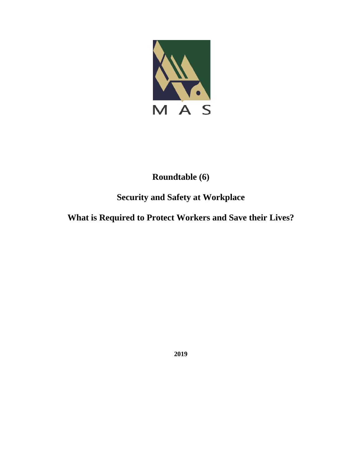

## **Roundtable (6)**

# **Security and Safety at Workplace**

## **What is Required to Protect Workers and Save their Lives?**

**2019**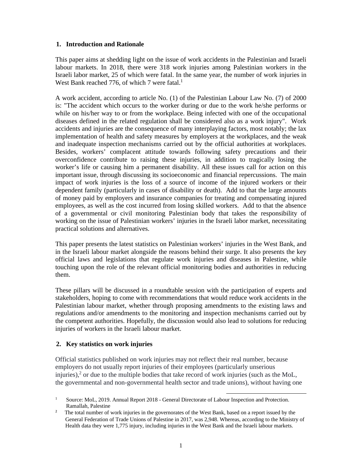### **1. Introduction and Rationale**

This paper aims at shedding light on the issue of work accidents in the Palestinian and Israeli labour markets. In 2018, there were 318 work injuries among Palestinian workers in the Israeli labor market, 25 of which were fatal. In the same year, the number of work injuries in West Bank reached 776, of which 7 were fatal.<sup>1</sup>

A work accident, according to article No. (1) of the Palestinian Labour Law No. (7) of 2000 is: "The accident which occurs to the worker during or due to the work he/she performs or while on his/her way to or from the workplace. Being infected with one of the occupational diseases defined in the related regulation shall be considered also as a work injury". Work accidents and injuries are the consequence of many interplaying factors, most notably; the lax implementation of health and safety measures by employers at the workplaces, and the weak and inadequate inspection mechanisms carried out by the official authorities at workplaces. Besides, workers' complacent attitude towards following safety precautions and their overconfidence contribute to raising these injuries, in addition to tragically losing the worker's life or causing him a permanent disability. All these issues call for action on this important issue, through discussing its socioeconomic and financial repercussions. The main impact of work injuries is the loss of a source of income of the injured workers or their dependent family (particularly in cases of disability or death). Add to that the large amounts of money paid by employers and insurance companies for treating and compensating injured employees, as well as the cost incurred from losing skilled workers. Add to that the absence of a governmental or civil monitoring Palestinian body that takes the responsibility of working on the issue of Palestinian workers' injuries in the Israeli labor market, necessitating practical solutions and alternatives.

This paper presents the latest statistics on Palestinian workers' injuries in the West Bank, and in the Israeli labour market alongside the reasons behind their surge. It also presents the key official laws and legislations that regulate work injuries and diseases in Palestine, while touching upon the role of the relevant official monitoring bodies and authorities in reducing them.

These pillars will be discussed in a roundtable session with the participation of experts and stakeholders, hoping to come with recommendations that would reduce work accidents in the Palestinian labour market, whether through proposing amendments to the existing laws and regulations and/or amendments to the monitoring and inspection mechanisms carried out by the competent authorities. Hopefully, the discussion would also lead to solutions for reducing injuries of workers in the Israeli labour market.

## **2. Key statistics on work injuries**

Official statistics published on work injuries may not reflect their real number, because employers do not usually report injuries of their employees (particularly unserious injuries), $^2$  or due to the multiple bodies that take record of work injuries (such as the MoL, the governmental and non-governmental health sector and trade unions), without having one

<sup>1</sup> Source: MoL, 2019. Annual Report 2018 - General Directorate of Labour Inspection and Protection. Ramallah, Palestine

<sup>2</sup> The total number of work injuries in the governorates of the West Bank, based on a report issued by the General Federation of Trade Unions of Palestine in 2017, was 2,948. Whereas, according to the Ministry of Health data they were 1,775 injury, including injuries in the West Bank and the Israeli labour markets.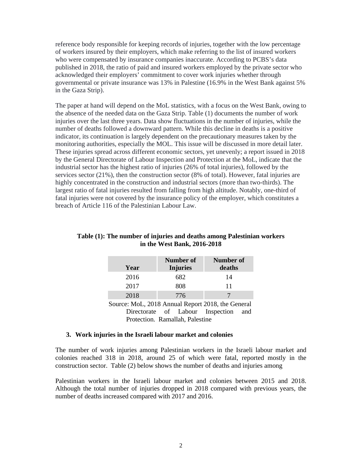reference body responsible for keeping records of injuries, together with the low percentage of workers insured by their employers, which make referring to the list of insured workers who were compensated by insurance companies inaccurate. According to PCBS's data published in 2018, the ratio of paid and insured workers employed by the private sector who acknowledged their employers' commitment to cover work injuries whether through governmental or private insurance was 13% in Palestine (16.9% in the West Bank against 5% in the Gaza Strip).

The paper at hand will depend on the MoL statistics, with a focus on the West Bank, owing to the absence of the needed data on the Gaza Strip. Table (1) documents the number of work injuries over the last three years. Data show fluctuations in the number of injuries, while the number of deaths followed a downward pattern. While this decline in deaths is a positive indicator, its continuation is largely dependent on the precautionary measures taken by the monitoring authorities, especially the MOL. This issue will be discussed in more detail later. These injuries spread across different economic sectors, yet unevenly; a report issued in 2018 by the General Directorate of Labour Inspection and Protection at the MoL, indicate that the industrial sector has the highest ratio of injuries (26% of total injuries), followed by the services sector (21%), then the construction sector (8% of total). However, fatal injuries are highly concentrated in the construction and industrial sectors (more than two-thirds). The largest ratio of fatal injuries resulted from falling from high altitude. Notably, one-third of fatal injuries were not covered by the insurance policy of the employer, which constitutes a breach of Article 116 of the Palestinian Labour Law.

| Year | Number of<br><b>Injuries</b> | <b>Number</b> of<br>deaths |
|------|------------------------------|----------------------------|
| 2016 | 682                          | 14                         |
| 2017 | 808                          | 11                         |
| 2018 | 776                          |                            |

## **Table (1): The number of injuries and deaths among Palestinian workers in the West Bank, 2016-2018**

Source: MoL, 2018 Annual Report 2018, the General Directorate of Labour Inspection and Protection. Ramallah, Palestine

#### **3. Work injuries in the Israeli labour market and colonies**

The number of work injuries among Palestinian workers in the Israeli labour market and colonies reached 318 in 2018, around 25 of which were fatal, reported mostly in the construction sector. Table (2) below shows the number of deaths and injuries among

Palestinian workers in the Israeli labour market and colonies between 2015 and 2018. Although the total number of injuries dropped in 2018 compared with previous years, the number of deaths increased compared with 2017 and 2016.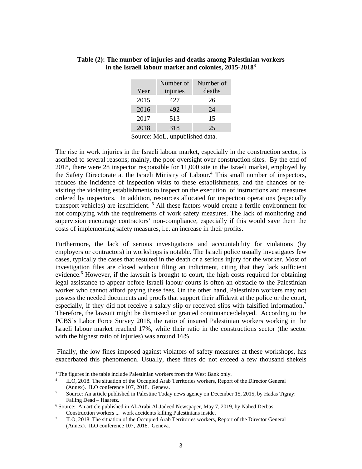|      | Number of | Number of |
|------|-----------|-----------|
| Year | injuries  | deaths    |
| 2015 | 427       | 26        |
| 2016 | 492       | 24        |
| 2017 | 513       | 15        |
| 2018 | 318       | 25        |

#### **Table (2): The number of injuries and deaths among Palestinian workers in the Israeli labour market and colonies, 2015-20183**

Source: MoL, unpublished data.

The rise in work injuries in the Israeli labour market, especially in the construction sector, is ascribed to several reasons; mainly, the poor oversight over construction sites. By the end of 2018, there were 28 inspector responsible for 11,000 site in the Israeli market, employed by the Safety Directorate at the Israeli Ministry of Labour.<sup>4</sup> This small number of inspectors, reduces the incidence of inspection visits to these establishments, and the chances or revisiting the violating establishments to inspect on the execution of instructions and measures ordered by inspectors. In addition, resources allocated for inspection operations (especially transport vehicles) are insufficient. <sup>5</sup> All these factors would create a fertile environment for not complying with the requirements of work safety measures. The lack of monitoring and supervision encourage contractors' non-compliance, especially if this would save them the costs of implementing safety measures, i.e. an increase in their profits.

Furthermore, the lack of serious investigations and accountability for violations (by employers or contractors) in workshops is notable. The Israeli police usually investigates few cases, typically the cases that resulted in the death or a serious injury for the worker. Most of investigation files are closed without filing an indictment, citing that they lack sufficient evidence.<sup>6</sup> However, if the lawsuit is brought to court, the high costs required for obtaining legal assistance to appear before Israeli labour courts is often an obstacle to the Palestinian worker who cannot afford paying these fees. On the other hand, Palestinian workers may not possess the needed documents and proofs that support their affidavit at the police or the court, especially, if they did not receive a salary slip or received slips with falsified information.<sup>7</sup> Therefore, the lawsuit might be dismissed or granted continuance/delayed. According to the PCBS's Labor Force Survey 2018, the ratio of insured Palestinian workers working in the Israeli labour market reached 17%, while their ratio in the constructions sector (the sector with the highest ratio of injuries) was around 16%.

 Finally, the low fines imposed against violators of safety measures at these workshops, has exacerbated this phenomenon. Usually, these fines do not exceed a few thousand shekels

<sup>&</sup>lt;sup>3</sup> The figures in the table include Palestinian workers from the West Bank only.

<sup>4</sup> ILO, 2018. The situation of the Occupied Arab Territories workers, Report of the Director General (Annex). ILO conference 107, 2018. Geneva.<br>
Source: An article published in Palestine Today

Source: An article published in Palestine Today news agency on December 15, 2015, by Hadas Tigray: Falling Dead – Haaretz.

 $6$  Source: An article published in Al-Arabi Al-Jadeed Newspaper, May 7, 2019, by Nahed Derbas: Construction workers ... work accidents killing Palestinians inside.

<sup>7</sup> ILO, 2018. The situation of the Occupied Arab Territories workers, Report of the Director General (Annex). ILO conference 107, 2018. Geneva.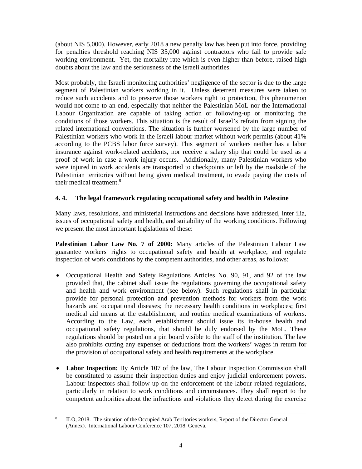(about NIS 5,000). However, early 2018 a new penalty law has been put into force, providing for penalties threshold reaching NIS 35,000 against contractors who fail to provide safe working environment. Yet, the mortality rate which is even higher than before, raised high doubts about the law and the seriousness of the Israeli authorities.

Most probably, the Israeli monitoring authorities' negligence of the sector is due to the large segment of Palestinian workers working in it. Unless deterrent measures were taken to reduce such accidents and to preserve those workers right to protection, this phenomenon would not come to an end, especially that neither the Palestinian MoL nor the International Labour Organization are capable of taking action or following-up or monitoring the conditions of those workers. This situation is the result of Israel's refrain from signing the related international conventions. The situation is further worsened by the large number of Palestinian workers who work in the Israeli labour market without work permits (about 41% according to the PCBS labor force survey). This segment of workers neither has a labor insurance against work-related accidents, nor receive a salary slip that could be used as a proof of work in case a work injury occurs. Additionally, many Palestinian workers who were injured in work accidents are transported to checkpoints or left by the roadside of the Palestinian territories without being given medical treatment, to evade paying the costs of their medical treatment.<sup>8</sup>

### **4. 4. The legal framework regulating occupational safety and health in Palestine**

Many laws, resolutions, and ministerial instructions and decisions have addressed, inter ilia, issues of occupational safety and health, and suitability of the working conditions. Following we present the most important legislations of these:

**Palestinian Labor Law No. 7 of 2000:** Many articles of the Palestinian Labour Law guarantee workers' rights to occupational safety and health at workplace, and regulate inspection of work conditions by the competent authorities, and other areas, as follows:

- Occupational Health and Safety Regulations Articles No. 90, 91, and 92 of the law provided that, the cabinet shall issue the regulations governing the occupational safety and health and work environment (see below). Such regulations shall in particular provide for personal protection and prevention methods for workers from the work hazards and occupational diseases; the necessary health conditions in workplaces; first medical aid means at the establishment; and routine medical examinations of workers. According to the Law, each establishment should issue its in-house health and occupational safety regulations, that should be duly endorsed by the MoL. These regulations should be posted on a pin board visible to the staff of the institution. The law also prohibits cutting any expenses or deductions from the workers' wages in return for the provision of occupational safety and health requirements at the workplace.
- **Labor Inspection:** By Article 107 of the law, The Labour Inspection Commission shall be constituted to assume their inspection duties and enjoy judicial enforcement powers. Labour inspectors shall follow up on the enforcement of the labour related regulations, particularly in relation to work conditions and circumstances. They shall report to the competent authorities about the infractions and violations they detect during the exercise

<sup>8</sup> ILO, 2018. The situation of the Occupied Arab Territories workers, Report of the Director General (Annex). International Labour Conference 107, 2018. Geneva.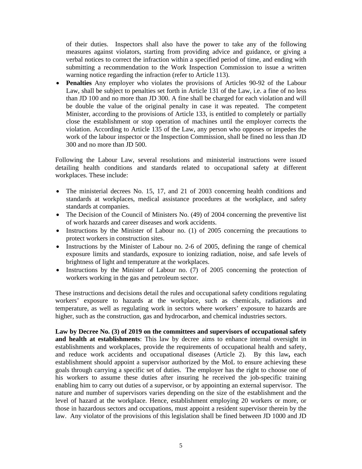of their duties. Inspectors shall also have the power to take any of the following measures against violators, starting from providing advice and guidance, or giving a verbal notices to correct the infraction within a specified period of time, and ending with submitting a recommendation to the Work Inspection Commission to issue a written warning notice regarding the infraction (refer to Article 113).

 **Penalties** Any employer who violates the provisions of Articles 90-92 of the Labour Law, shall be subject to penalties set forth in Article 131 of the Law, i.e. a fine of no less than JD 100 and no more than JD 300. A fine shall be charged for each violation and will be double the value of the original penalty in case it was repeated. The competent Minister, according to the provisions of Article 133, is entitled to completely or partially close the establishment or stop operation of machines until the employer corrects the violation. According to Article 135 of the Law, any person who opposes or impedes the work of the labour inspector or the Inspection Commission, shall be fined no less than JD 300 and no more than JD 500.

Following the Labour Law, several resolutions and ministerial instructions were issued detailing health conditions and standards related to occupational safety at different workplaces. These include:

- The ministerial decrees No. 15, 17, and 21 of 2003 concerning health conditions and standards at workplaces, medical assistance procedures at the workplace, and safety standards at companies.
- The Decision of the Council of Ministers No. (49) of 2004 concerning the preventive list of work hazards and career diseases and work accidents.
- Instructions by the Minister of Labour no. (1) of 2005 concerning the precautions to protect workers in construction sites.
- Instructions by the Minister of Labour no. 2-6 of 2005, defining the range of chemical exposure limits and standards, exposure to ionizing radiation, noise, and safe levels of brightness of light and temperature at the workplaces.
- Instructions by the Minister of Labour no. (7) of 2005 concerning the protection of workers working in the gas and petroleum sector.

These instructions and decisions detail the rules and occupational safety conditions regulating workers' exposure to hazards at the workplace, such as chemicals, radiations and temperature, as well as regulating work in sectors where workers' exposure to hazards are higher, such as the construction, gas and hydrocarbon, and chemical industries sectors.

**Law by Decree No. (3) of 2019 on the committees and supervisors of occupational safety and health at establishments**: This law by decree aims to enhance internal oversight in establishments and workplaces, provide the requirements of occupational health and safety, and reduce work accidents and occupational diseases (Article 2). By this law**,** each establishment should appoint a supervisor authorized by the MoL to ensure achieving these goals through carrying a specific set of duties. The employer has the right to choose one of his workers to assume these duties after insuring he received the job-specific training enabling him to carry out duties of a supervisor, or by appointing an external supervisor. The nature and number of supervisors varies depending on the size of the establishment and the level of hazard at the workplace. Hence, establishment employing 20 workers or more, or those in hazardous sectors and occupations, must appoint a resident supervisor therein by the law. Any violator of the provisions of this legislation shall be fined between JD 1000 and JD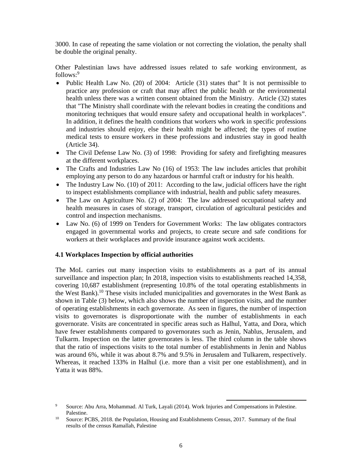3000. In case of repeating the same violation or not correcting the violation, the penalty shall be double the original penalty.

Other Palestinian laws have addressed issues related to safe working environment, as follows:<sup>9</sup>

- Public Health Law No. (20) of 2004: Article (31) states that" It is not permissible to practice any profession or craft that may affect the public health or the environmental health unless there was a written consent obtained from the Ministry. Article (32) states that "The Ministry shall coordinate with the relevant bodies in creating the conditions and monitoring techniques that would ensure safety and occupational health in workplaces". In addition, it defines the health conditions that workers who work in specific professions and industries should enjoy, else their health might be affected; the types of routine medical tests to ensure workers in these professions and industries stay in good health (Article 34).
- The Civil Defense Law No. (3) of 1998: Providing for safety and firefighting measures at the different workplaces.
- The Crafts and Industries Law No (16) of 1953: The law includes articles that prohibit employing any person to do any hazardous or harmful craft or industry for his health.
- The Industry Law No. (10) of 2011: According to the law, judicial officers have the right to inspect establishments compliance with industrial, health and public safety measures.
- The Law on Agriculture No. (2) of 2004: The law addressed occupational safety and health measures in cases of storage, transport, circulation of agricultural pesticides and control and inspection mechanisms.
- Law No. (6) of 1999 on Tenders for Government Works: The law obligates contractors engaged in governmental works and projects, to create secure and safe conditions for workers at their workplaces and provide insurance against work accidents.

## **4.1 Workplaces Inspection by official authorities**

The MoL carries out many inspection visits to establishments as a part of its annual surveillance and inspection plan; In 2018, inspection visits to establishments reached 14,358, covering 10,687 establishment (representing 10.8% of the total operating establishments in the West Bank).<sup>10</sup> These visits included municipalities and governorates in the West Bank as shown in Table (3) below, which also shows the number of inspection visits, and the number of operating establishments in each governorate. As seen in figures, the number of inspection visits to governorates is disproportionate with the number of establishments in each governorate. Visits are concentrated in specific areas such as Halhul, Yatta, and Dora, which have fewer establishments compared to governorates such as Jenin, Nablus, Jerusalem, and Tulkarm. Inspection on the latter governorates is less. The third column in the table shows that the ratio of inspections visits to the total number of establishments in Jenin and Nablus was around 6%, while it was about 8.7% and 9.5% in Jerusalem and Tulkarem, respectively. Whereas, it reached 133% in Halhul (i.e. more than a visit per one establishment), and in Yatta it was 88%.

<sup>9</sup> Source: Abu Arra, Mohammad. Al Turk, Layali (2014). Work Injuries and Compensations in Palestine. Palestine.<br><sup>10</sup> Source: PCBS, 2018. the Population, Housing and Establishments Census, 2017. Summary of the final

results of the census Ramallah, Palestine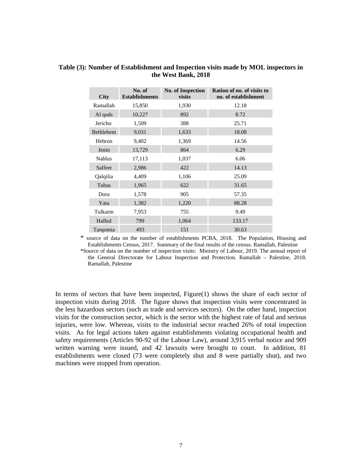| <b>City</b>   | No. of<br><b>Establishments</b> | <b>No. of Inspection</b><br>visits | Ration of no. of visits to<br>no. of establishment |
|---------------|---------------------------------|------------------------------------|----------------------------------------------------|
| Ramallah      | 15,850                          | 1,930                              | 12.18                                              |
| Al quds       | 10,227                          | 892                                | 8.72                                               |
| Jericho       | 1,509                           | 388                                | 25.71                                              |
| Bethlehem     | 9,031                           | 1,633                              | 18.08                                              |
| Hebron        | 9,402                           | 1,369                              | 14.56                                              |
| Jenin         | 13,729                          | 864                                | 6.29                                               |
| <b>Nablus</b> | 17,113                          | 1,037                              | 6.06                                               |
| Salfeet       | 2,986                           | 422                                | 14.13                                              |
| Qalqilia      | 4,409                           | 1,106                              | 25.09                                              |
| Tubas         | 1,965                           | 622                                | 31.65                                              |
| Dora          | 1,578                           | 905                                | 57.35                                              |
| Yata          | 1,382                           | 1,220                              | 88.28                                              |
| Tulkarm       | 7,953                           | 755                                | 9.49                                               |
| Halhul        | 799                             | 1,064                              | 133.17                                             |
| Targomia      | 493                             | 151                                | 30.63                                              |

#### **Table (3): Number of Establishment and Inspection visits made by MOL inspectors in the West Bank, 2018**

\* source of data on the number of establishments PCBA, 2018. The Population, Housing and Establishments Census, 2017. Summary of the final results of the census. Ramallah, Palestine

\*Source of data on the number of inspection visits: Ministry of Labour, 2019. The annual report of the General Directorate for Labour Inspection and Protection. Ramallah – Palestine, 2018. Ramallah, Palestine

In terms of sectors that have been inspected, Figure(1) shows the share of each sector of inspection visits during 2018. The figure shows that inspection visits were concentrated in the less hazardous sectors (such as trade and services sectors). On the other hand, inspection visits for the construction sector, which is the sector with the highest rate of fatal and serious injuries, were low. Whereas, visits to the industrial sector reached 26% of total inspection visits. As for legal actions taken against establishments violating occupational health and safety requirements (Articles 90-92 of the Labour Law), around 3,915 verbal notice and 909 written warning were issued, and 42 lawsuits were brought to court. In addition, 81 establishments were closed (73 were completely shut and 8 were partially shut), and two machines were stopped from operation.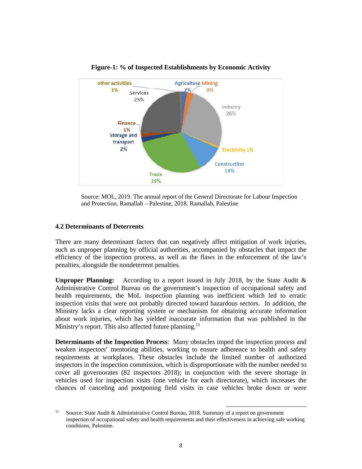

**Figure-1: % of Inspected Establishments by Economic Activity** 

Source: MOL, 2019. The annual report of the General Directorate for Labour Inspection and Protection. Ramallah – Palestine, 2018. Ramallah, Palestine

#### **4.2 Determinants of Deterrents**

There are many determinant factors that can negatively affect mitigation of work injuries, such as unproper planning by official authorities, accompanied by obstacles that impact the efficiency of the inspection process, as well as the flaws in the enforcement of the law's penalties, alongside the nondeterrent penalties.

**Unproper Planning:** According to a report issued in July 2018, by the State Audit & Administrative Control Bureau on the government's inspection of occupational safety and health requirements, the MoL inspection planning was inefficient which led to erratic inspection visits that were not probably directed toward hazardous sectors. In addition, the Ministry lacks a clear reporting system or mechanism for obtaining accurate information about work injuries, which has yielded inaccurate information that was published in the Ministry's report. This also affected future planning.<sup>11</sup>

**Determinants of the Inspection Process**: Many obstacles imped the inspection process and weaken inspectors' mentoring abilities, working to ensure adherence to health and safety requirements at workplaces. These obstacles include the limited number of authorized inspectors in the inspection commission, which is disproportionate with the number needed to cover all governorates (82 inspectors 2018); in conjunction with the severe shortage in vehicles used for inspection visits (one vehicle for each directorate), which increases the chances of canceling and postponing field visits in case vehicles broke down or were

<sup>&</sup>lt;sup>11</sup> Source: State Audit & Administrative Control Bureau, 2018. Summary of a report on government inspection of occupational safety and health requirements and their effectiveness in achieving safe working conditions, Palestine.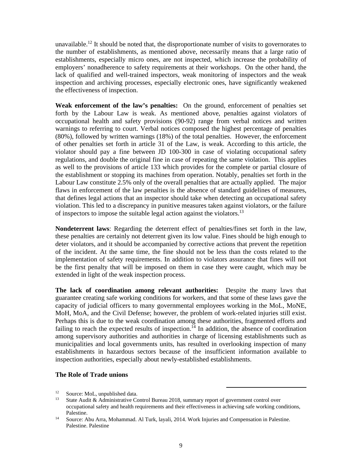unavailable.<sup>12</sup> It should be noted that, the disproportionate number of visits to governorates to the number of establishments, as mentioned above, necessarily means that a large ratio of establishments, especially micro ones, are not inspected, which increase the probability of employers' nonadherence to safety requirements at their workshops. On the other hand, the lack of qualified and well-trained inspectors, weak monitoring of inspectors and the weak inspection and archiving processes, especially electronic ones, have significantly weakened the effectiveness of inspection.

**Weak enforcement of the law's penalties:** On the ground, enforcement of penalties set forth by the Labour Law is weak. As mentioned above, penalties against violators of occupational health and safety provisions (90-92) range from verbal notices and written warnings to referring to court. Verbal notices composed the highest percentage of penalties (80%), followed by written warnings (18%) of the total penalties. However, the enforcement of other penalties set forth in article 31 of the Law, is weak. According to this article, the violator should pay a fine between JD 100-300 in case of violating occupational safety regulations, and double the original fine in case of repeating the same violation. This applies as well to the provisions of article 133 which provides for the complete or partial closure of the establishment or stopping its machines from operation. Notably, penalties set forth in the Labour Law constitute 2.5% only of the overall penalties that are actually applied. The major flaws in enforcement of the law penalties is the absence of standard guidelines of measures, that defines legal actions that an inspector should take when detecting an occupational safety violation. This led to a discrepancy in punitive measures taken against violators, or the failure of inspectors to impose the suitable legal action against the violators.<sup>13</sup>

**Nondeterrent laws**: Regarding the deterrent effect of penalties/fines set forth in the law, these penalties are certainly not deterrent given its low value. Fines should be high enough to deter violators, and it should be accompanied by corrective actions that prevent the repetition of the incident. At the same time, the fine should not be less than the costs related to the implementation of safety requirements. In addition to violators assurance that fines will not be the first penalty that will be imposed on them in case they were caught, which may be extended in light of the weak inspection process.

**The lack of coordination among relevant authorities:** Despite the many laws that guarantee creating safe working conditions for workers, and that some of these laws gave the capacity of judicial officers to many governmental employees working in the MoL, MoNE, MoH, MoA, and the Civil Defense; however, the problem of work-related injuries still exist. Perhaps this is due to the weak coordination among these authorities, fragmented efforts and failing to reach the expected results of inspection.<sup>14</sup> In addition, the absence of coordination among supervisory authorities and authorities in charge of licensing establishments such as municipalities and local governments units, has resulted in overlooking inspection of many establishments in hazardous sectors because of the insufficient information available to inspection authorities, especially about newly-established establishments.

#### **The Role of Trade unions**

<sup>&</sup>lt;sup>12</sup> Source: MoL, unpublished data.<br><sup>13</sup> State Audit & Administrative Co

<sup>13</sup> State Audit & Administrative Control Bureau 2018, summary report of government control over occupational safety and health requirements and their effectiveness in achieving safe working conditions, Palestine.<br><sup>14</sup> Source: Abu Arra, Mohammad. Al Turk, layali, 2014. Work Injuries and Compensation in Palestine.

Palestine. Palestine